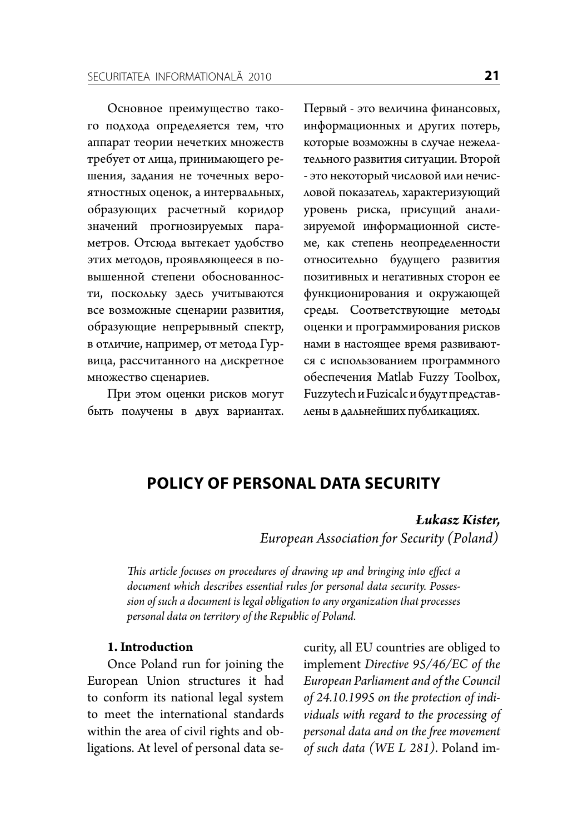Основное преимущество такого подхода определяется тем, что аппарат теории нечетких множеств требует от лица, принимающего решения, задания не точечных вероятностных оценок, а интервальных, образующих расчетный коридор значений прогнозируемых параметров. Отсюда вытекает удобство этих методов, проявляющееся в повышенной степени обоснованности, поскольку здесь учитываются все возможные сценарии развития, образующие непрерывный спектр, в отличие, например, от метода Гурвица, рассчитанного на дискретное множество сценариев.

При этом оценки рисков могут быть получены в двух вариантах. Первый - это величина финансовых, информационных и других потерь, которые возможны в случае нежелательного развития ситуации. Второй - это некоторый числовой или нечисловой показатель, характеризующий уровень риска, присущий анализируемой информационной системе, как степень неопределенности относительно будущего развития позитивных и негативных сторон ее функционирования и окружающей среды. Соответствующие методы оценки и программирования рисков нами в настоящее время развиваются с использованием программного обеспечения Matlab Fuzzy Toolbox, Fuzzytech и Fuzicalc и будут представлены в дальнейших публикациях.

# POLICY OF PERSONAL DATA SECURITY

### **Lukasz Kister.**

European Association for Security (Poland)

This article focuses on procedures of drawing up and bringing into effect a document which describes essential rules for personal data security. Possession of such a document is legal obligation to any organization that processes personal data on territory of the Republic of Poland.

#### 1. Introduction

Once Poland run for joining the European Union structures it had to conform its national legal system to meet the international standards within the area of civil rights and obligations. At level of personal data security, all EU countries are obliged to implement Directive 95/46/EC of the European Parliament and of the Council of 24.10.1995 on the protection of individuals with regard to the processing of personal data and on the free movement of such data (WE L 281). Poland im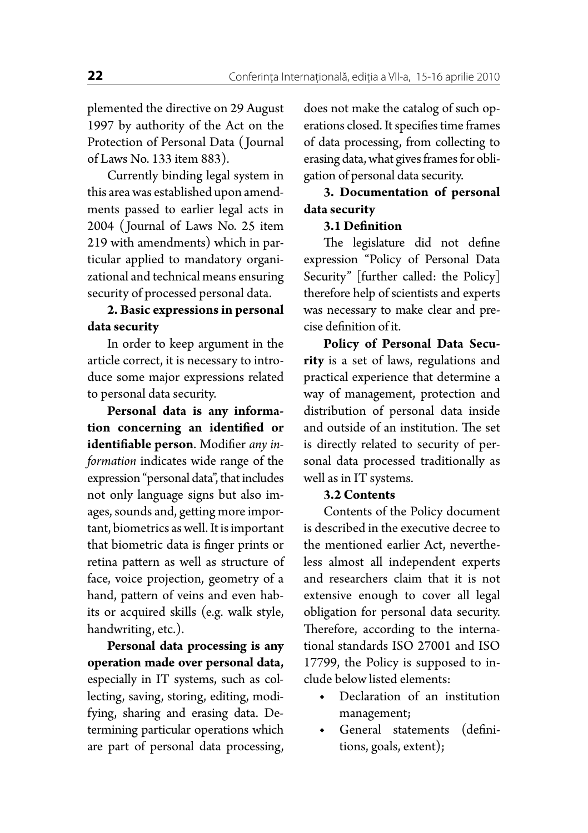plemented the directive on 29 August 1997 by authority of the Act on the Protection of Personal Data ( Journal of Laws No. 133 item 883).

Currently binding legal system in this area was established upon amendments passed to earlier legal acts in 2004 ( Journal of Laws No. 25 item 219 with amendments) which in particular applied to mandatory organizational and technical means ensuring security of processed personal data.

# **2. Basic expressionsin personal data security**

In order to keep argument in the article correct, it is necessary to introduce some major expressions related to personal data security.

**Personal data is any information concerning an identified or identifiable person**. Modifier *any information* indicates wide range of the expression "personal data", that includes not only language signs but also images, sounds and, getting more important, biometrics as well. It is important that biometric data is finger prints or retina pattern as well as structure of face, voice projection, geometry of a hand, pattern of veins and even habits or acquired skills (e.g. walk style, handwriting, etc.).

**Personal data processing is any operation made over personal data,** especially in IT systems, such as collecting, saving, storing, editing, modifying, sharing and erasing data. Determining particular operations which are part of personal data processing, does not make the catalog of such operations closed. It specifies time frames of data processing, from collecting to erasing data, what gives frames for obligation of personal data security.

**3. Documentation of personal data security**

## **3.1 Definition**

The legislature did not define expression "Policy of Personal Data Security" [further called: the Policy] therefore help of scientists and experts was necessary to make clear and precise definition of it.

**Policy of Personal Data Security** is a set of laws, regulations and practical experience that determine a way of management, protection and distribution of personal data inside and outside of an institution. The set is directly related to security of personal data processed traditionally as well as in IT systems.

### **3.2 Contents**

Contents of the Policy document is described in the executive decree to the mentioned earlier Act, nevertheless almost all independent experts and researchers claim that it is not extensive enough to cover all legal obligation for personal data security. Therefore, according to the international standards ISO 27001 and ISO 17799, the Policy is supposed to include below listed elements:

- Declaration of an institution management;
- General statements (definitions, goals, extent);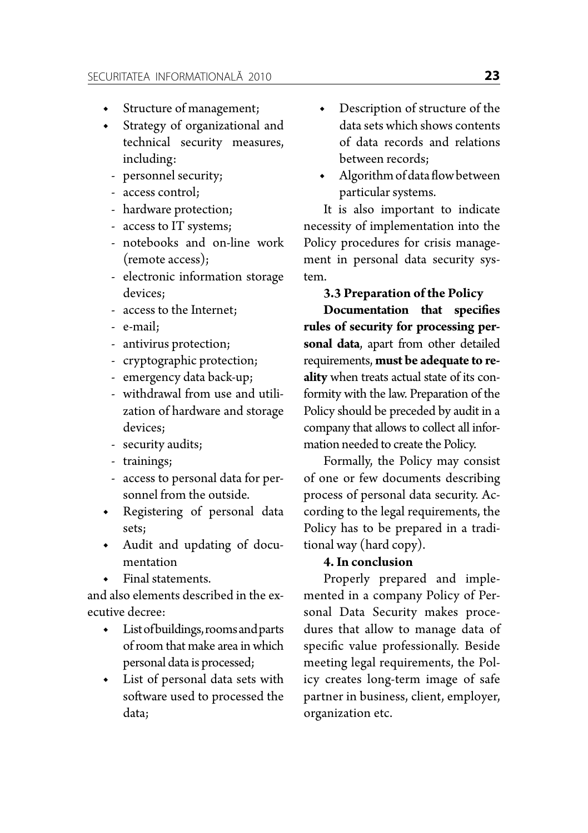- Structure of management;
- ◆ Strategy of organizational and technical security measures, including:
	- personnel security;
	- access control;
	- hardware protection;
	- access to IT systems;
	- notebooks and on-line work (remote access);
	- electronic information storage devices;
	- access to the Internet;
	- e-mail;
	- antivirus protection;
	- cryptographic protection;
	- emergency data back-up;
	- withdrawal from use and utilization of hardware and storage devices;
	- security audits;
	- trainings;
	- access to personal data for personnel from the outside.
- ◆ Registering of personal data sets;
- ◆ Audit and updating of documentation
- Final statements.

and also elements described in the executive decree:

- ◆ List of buildings, rooms and parts of room that make area in which personal data is processed;
- List of personal data sets with software used to processed the data;
- Description of structure of the data sets which shows contents of data records and relations between records;
- Algorithm of data flow between particular systems.

It is also important to indicate necessity of implementation into the Policy procedures for crisis management in personal data security system.

**3.3 Preparation of the Policy**

**Documentation that specifies rules of security for processing personal data**, apart from other detailed requirements, **must be adequate to reality** when treats actual state of its conformity with the law. Preparation of the Policy should be preceded by audit in a company that allows to collect all information needed to create the Policy.

Formally, the Policy may consist of one or few documents describing process of personal data security. According to the legal requirements, the Policy has to be prepared in a traditional way (hard copy).

# **4.In conclusion**

Properly prepared and implemented in a company Policy of Personal Data Security makes procedures that allow to manage data of specific value professionally. Beside meeting legal requirements, the Policy creates long-term image of safe partner in business, client, employer, organization etc.